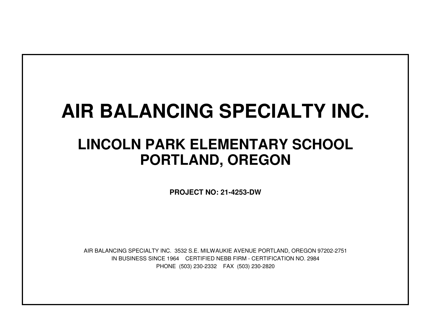## **AIR BALANCING SPECIALTY INC.**

## **LINCOLN PARK ELEMENTARY SCHOOLPORTLAND, OREGON**

**PROJECT NO: 21-4253-DW**

IN BUSINESS SINCE 1964 CERTIFIED NEBB FIRM - CERTIFICATION NO. 2984PHONE (503) 230-2332 FAX (503) 230-2820AIR BALANCING SPECIALTY INC. 3532 S.E. MILWAUKIE AVENUE PORTLAND, OREGON 97202-2751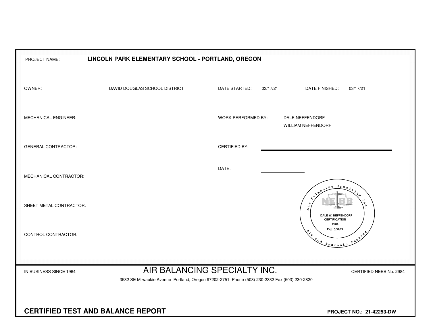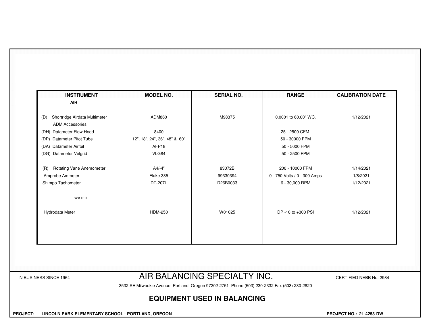| <b>INSTRUMENT</b>                                              | <b>MODEL NO.</b>              | <b>SERIAL NO.</b>            | <b>RANGE</b>                 | <b>CALIBRATION DATE</b> |
|----------------------------------------------------------------|-------------------------------|------------------------------|------------------------------|-------------------------|
| <b>AIR</b>                                                     |                               |                              |                              |                         |
| Shortridge Airdata Multimeter<br>(D)<br><b>ADM Accessories</b> | ADM860                        | M98375                       | 0.0001 to 60.00" WC.         | 1/12/2021               |
| (DH) Datameter Flow Hood                                       | 8400                          |                              | 25 - 2500 CFM                |                         |
| (DP) Datameter Pitot Tube                                      | 12", 18", 24", 36", 48" & 60" |                              | 50 - 30000 FPM               |                         |
| (DA) Datameter Airfoil                                         | AFP <sub>18</sub>             |                              | 50 - 5000 FPM                |                         |
| (DG) Datameter Velgrid                                         | VLG84                         |                              | 50 - 2500 FPM                |                         |
| <b>Rotating Vane Anemometer</b><br>(R)                         | A4/-4"                        | 83072B                       | 200 - 10000 FPM              | 1/14/2021               |
| Amprobe Ammeter                                                | Fluke 335                     | 99330394                     | 0 - 750 Volts / 0 - 300 Amps | 1/8/2021                |
| Shimpo Tachometer                                              | DT-207L                       | D26B0033                     | 6 - 30,000 RPM               | 1/12/2021               |
| <b>WATER</b>                                                   |                               |                              |                              |                         |
| Hydrodata Meter                                                | <b>HDM-250</b>                | W01025                       | DP -10 to +300 PSI           | 1/12/2021               |
|                                                                |                               |                              |                              |                         |
|                                                                |                               |                              |                              |                         |
|                                                                |                               |                              |                              |                         |
| IN BUSINESS SINCE 1964                                         |                               | AIR BALANCING SPECIALTY INC. |                              | CERTIFIED NEBB No. 2984 |

## **EQUIPMENT USED IN BALANCING**

 **PROJECT: LINCOLN PARK ELEMENTARY SCHOOL - PORTLAND, OREGON PROJECT NO.: 21-4253-DW**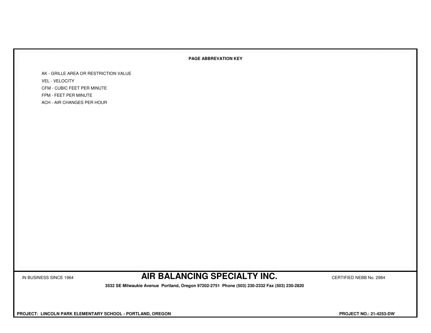## **PAGE ABBREVATION KEY**

AK - GRILLE AREA OR RESTRICTION VALUEVEL - VELOCITY CFM - CUBIC FEET PER MINUTEFPM - FEET PER MINUTEACH - AIR CHANGES PER HOUR

IN BUSINESS SINCE 1964 **AIR BALANCING SPECIALTY INC.** CERTIFIED NEBB No. 2984

 **3532 SE Milwaukie Avenue Portland, Oregon 97202-2751 Phone (503) 230-2332 Fax (503) 230-2820**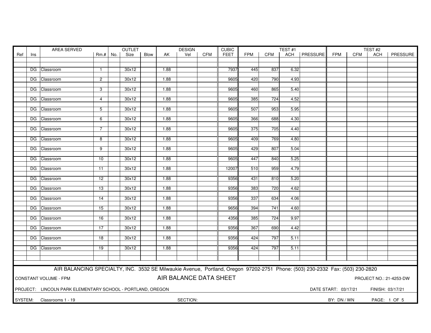| Ref<br>Blow<br>Vel<br><b>CFM</b><br><b>FEET</b><br><b>FPM</b><br><b>CFM</b><br>ACH   PRESSURE<br><b>FPM</b><br>PRESSURE<br>$Rm.+$<br>Size<br><b>CFM</b><br>ACH<br>Ins<br>No.<br>AK<br>30x12<br>1.88<br>7937<br>445<br>837<br>6.32<br>DG Classroom<br>$\mathbf{1}$<br>9605<br>790<br>DG Classroom<br>$\mathbf{2}$<br>30x12<br>1.88<br>420<br>4.93<br>3<br>30x12<br>1.88<br>9605<br>460<br>865<br>5.40<br>DG Classroom<br>30x12<br>1.88<br>9605<br>385<br>724<br>4.52<br>DG Classroom<br>4<br>DG Classroom<br>30x12<br>1.88<br>9605<br>507<br>953<br>5.95<br>5<br>DG Classroom<br>30x12<br>1.88<br>9605<br>366<br>688<br>4.30<br>6<br>DG Classroom<br>30x12<br>1.88<br>9605<br>375<br>705<br>$\overline{7}$<br>4.40<br>769<br>DG Classroom<br>30x12<br>1.88<br>9605<br>409<br>4.80<br>8<br>$\overline{9}$<br>30x12<br>1.88<br>9605<br>429<br>807<br>5.04<br>DG Classroom<br>30x12<br>1.88<br>9605<br>447<br>840<br>5.25<br>DG Classroom<br>10<br>DG Classroom<br>1.88<br>12007<br>510<br>959<br>4.79<br>30x12<br>11<br>DG Classroom<br>$\overline{12}$<br>30x12<br>1.88<br>9356<br>431<br>810<br>5.20<br>30x12<br>1.88<br>383<br>720<br>DG Classroom<br>13<br>9356<br>4.62<br>337<br>30x12<br>1.88<br>9356<br>634<br>4.06<br>DG Classroom<br>14<br>30x12<br>1.88<br>9656<br>394<br>741<br>4.60<br>DG Classroom<br>15<br>4356<br>724<br>9.97<br>DG Classroom<br>16<br>30x12<br>1.88<br>385<br>367<br>690<br>DG Classroom<br>30x12<br>1.88<br>9356<br>4.42<br>17<br>30x12<br>1.88<br>9356<br>424<br>797<br>5.11<br>DG Classroom<br>18<br>797<br>DG Classroom<br>30x12<br>1.88<br>9356<br>424<br>5.11<br>19<br>AIR BALANCING SPECIALTY, INC. 3532 SE Milwaukie Avenue, Portland, Oregon 97202-2751 Phone: (503) 230-2332 Fax: (503) 230-2820<br>AIR BALANCE DATA SHEET<br><b>CONSTANT VOLUME - FPM</b><br>PROJECT NO.: 21-4253-DW<br>PROJECT: LINCOLN PARK ELEMENTARY SCHOOL - PORTLAND, OREGON<br>DATE START: 03/17/21<br>FINISH: 03/17/21<br>SYSTEM: Classrooms 1 - 19<br>SECTION:<br>BY: DN / WN<br>PAGE: 1 OF 5 | AREA SERVED<br><b>OUTLET</b><br><b>DESIGN</b> |  |  |  |  |  |  |  |  | <b>CUBIC</b> |  |  | TEST#1 |  |  | TEST#2 |  |  |  |  |
|----------------------------------------------------------------------------------------------------------------------------------------------------------------------------------------------------------------------------------------------------------------------------------------------------------------------------------------------------------------------------------------------------------------------------------------------------------------------------------------------------------------------------------------------------------------------------------------------------------------------------------------------------------------------------------------------------------------------------------------------------------------------------------------------------------------------------------------------------------------------------------------------------------------------------------------------------------------------------------------------------------------------------------------------------------------------------------------------------------------------------------------------------------------------------------------------------------------------------------------------------------------------------------------------------------------------------------------------------------------------------------------------------------------------------------------------------------------------------------------------------------------------------------------------------------------------------------------------------------------------------------------------------------------------------------------------------------------------------------------------------------------------------------------------------------------------------------------------------------------------------------------------------------------------------------------------------------------------------------------------------------------|-----------------------------------------------|--|--|--|--|--|--|--|--|--------------|--|--|--------|--|--|--------|--|--|--|--|
|                                                                                                                                                                                                                                                                                                                                                                                                                                                                                                                                                                                                                                                                                                                                                                                                                                                                                                                                                                                                                                                                                                                                                                                                                                                                                                                                                                                                                                                                                                                                                                                                                                                                                                                                                                                                                                                                                                                                                                                                                |                                               |  |  |  |  |  |  |  |  |              |  |  |        |  |  |        |  |  |  |  |
|                                                                                                                                                                                                                                                                                                                                                                                                                                                                                                                                                                                                                                                                                                                                                                                                                                                                                                                                                                                                                                                                                                                                                                                                                                                                                                                                                                                                                                                                                                                                                                                                                                                                                                                                                                                                                                                                                                                                                                                                                |                                               |  |  |  |  |  |  |  |  |              |  |  |        |  |  |        |  |  |  |  |
|                                                                                                                                                                                                                                                                                                                                                                                                                                                                                                                                                                                                                                                                                                                                                                                                                                                                                                                                                                                                                                                                                                                                                                                                                                                                                                                                                                                                                                                                                                                                                                                                                                                                                                                                                                                                                                                                                                                                                                                                                |                                               |  |  |  |  |  |  |  |  |              |  |  |        |  |  |        |  |  |  |  |
|                                                                                                                                                                                                                                                                                                                                                                                                                                                                                                                                                                                                                                                                                                                                                                                                                                                                                                                                                                                                                                                                                                                                                                                                                                                                                                                                                                                                                                                                                                                                                                                                                                                                                                                                                                                                                                                                                                                                                                                                                |                                               |  |  |  |  |  |  |  |  |              |  |  |        |  |  |        |  |  |  |  |
|                                                                                                                                                                                                                                                                                                                                                                                                                                                                                                                                                                                                                                                                                                                                                                                                                                                                                                                                                                                                                                                                                                                                                                                                                                                                                                                                                                                                                                                                                                                                                                                                                                                                                                                                                                                                                                                                                                                                                                                                                |                                               |  |  |  |  |  |  |  |  |              |  |  |        |  |  |        |  |  |  |  |
|                                                                                                                                                                                                                                                                                                                                                                                                                                                                                                                                                                                                                                                                                                                                                                                                                                                                                                                                                                                                                                                                                                                                                                                                                                                                                                                                                                                                                                                                                                                                                                                                                                                                                                                                                                                                                                                                                                                                                                                                                |                                               |  |  |  |  |  |  |  |  |              |  |  |        |  |  |        |  |  |  |  |
|                                                                                                                                                                                                                                                                                                                                                                                                                                                                                                                                                                                                                                                                                                                                                                                                                                                                                                                                                                                                                                                                                                                                                                                                                                                                                                                                                                                                                                                                                                                                                                                                                                                                                                                                                                                                                                                                                                                                                                                                                |                                               |  |  |  |  |  |  |  |  |              |  |  |        |  |  |        |  |  |  |  |
|                                                                                                                                                                                                                                                                                                                                                                                                                                                                                                                                                                                                                                                                                                                                                                                                                                                                                                                                                                                                                                                                                                                                                                                                                                                                                                                                                                                                                                                                                                                                                                                                                                                                                                                                                                                                                                                                                                                                                                                                                |                                               |  |  |  |  |  |  |  |  |              |  |  |        |  |  |        |  |  |  |  |
|                                                                                                                                                                                                                                                                                                                                                                                                                                                                                                                                                                                                                                                                                                                                                                                                                                                                                                                                                                                                                                                                                                                                                                                                                                                                                                                                                                                                                                                                                                                                                                                                                                                                                                                                                                                                                                                                                                                                                                                                                |                                               |  |  |  |  |  |  |  |  |              |  |  |        |  |  |        |  |  |  |  |
|                                                                                                                                                                                                                                                                                                                                                                                                                                                                                                                                                                                                                                                                                                                                                                                                                                                                                                                                                                                                                                                                                                                                                                                                                                                                                                                                                                                                                                                                                                                                                                                                                                                                                                                                                                                                                                                                                                                                                                                                                |                                               |  |  |  |  |  |  |  |  |              |  |  |        |  |  |        |  |  |  |  |
|                                                                                                                                                                                                                                                                                                                                                                                                                                                                                                                                                                                                                                                                                                                                                                                                                                                                                                                                                                                                                                                                                                                                                                                                                                                                                                                                                                                                                                                                                                                                                                                                                                                                                                                                                                                                                                                                                                                                                                                                                |                                               |  |  |  |  |  |  |  |  |              |  |  |        |  |  |        |  |  |  |  |
|                                                                                                                                                                                                                                                                                                                                                                                                                                                                                                                                                                                                                                                                                                                                                                                                                                                                                                                                                                                                                                                                                                                                                                                                                                                                                                                                                                                                                                                                                                                                                                                                                                                                                                                                                                                                                                                                                                                                                                                                                |                                               |  |  |  |  |  |  |  |  |              |  |  |        |  |  |        |  |  |  |  |
|                                                                                                                                                                                                                                                                                                                                                                                                                                                                                                                                                                                                                                                                                                                                                                                                                                                                                                                                                                                                                                                                                                                                                                                                                                                                                                                                                                                                                                                                                                                                                                                                                                                                                                                                                                                                                                                                                                                                                                                                                |                                               |  |  |  |  |  |  |  |  |              |  |  |        |  |  |        |  |  |  |  |
|                                                                                                                                                                                                                                                                                                                                                                                                                                                                                                                                                                                                                                                                                                                                                                                                                                                                                                                                                                                                                                                                                                                                                                                                                                                                                                                                                                                                                                                                                                                                                                                                                                                                                                                                                                                                                                                                                                                                                                                                                |                                               |  |  |  |  |  |  |  |  |              |  |  |        |  |  |        |  |  |  |  |
|                                                                                                                                                                                                                                                                                                                                                                                                                                                                                                                                                                                                                                                                                                                                                                                                                                                                                                                                                                                                                                                                                                                                                                                                                                                                                                                                                                                                                                                                                                                                                                                                                                                                                                                                                                                                                                                                                                                                                                                                                |                                               |  |  |  |  |  |  |  |  |              |  |  |        |  |  |        |  |  |  |  |
|                                                                                                                                                                                                                                                                                                                                                                                                                                                                                                                                                                                                                                                                                                                                                                                                                                                                                                                                                                                                                                                                                                                                                                                                                                                                                                                                                                                                                                                                                                                                                                                                                                                                                                                                                                                                                                                                                                                                                                                                                |                                               |  |  |  |  |  |  |  |  |              |  |  |        |  |  |        |  |  |  |  |
|                                                                                                                                                                                                                                                                                                                                                                                                                                                                                                                                                                                                                                                                                                                                                                                                                                                                                                                                                                                                                                                                                                                                                                                                                                                                                                                                                                                                                                                                                                                                                                                                                                                                                                                                                                                                                                                                                                                                                                                                                |                                               |  |  |  |  |  |  |  |  |              |  |  |        |  |  |        |  |  |  |  |
|                                                                                                                                                                                                                                                                                                                                                                                                                                                                                                                                                                                                                                                                                                                                                                                                                                                                                                                                                                                                                                                                                                                                                                                                                                                                                                                                                                                                                                                                                                                                                                                                                                                                                                                                                                                                                                                                                                                                                                                                                |                                               |  |  |  |  |  |  |  |  |              |  |  |        |  |  |        |  |  |  |  |
|                                                                                                                                                                                                                                                                                                                                                                                                                                                                                                                                                                                                                                                                                                                                                                                                                                                                                                                                                                                                                                                                                                                                                                                                                                                                                                                                                                                                                                                                                                                                                                                                                                                                                                                                                                                                                                                                                                                                                                                                                |                                               |  |  |  |  |  |  |  |  |              |  |  |        |  |  |        |  |  |  |  |
|                                                                                                                                                                                                                                                                                                                                                                                                                                                                                                                                                                                                                                                                                                                                                                                                                                                                                                                                                                                                                                                                                                                                                                                                                                                                                                                                                                                                                                                                                                                                                                                                                                                                                                                                                                                                                                                                                                                                                                                                                |                                               |  |  |  |  |  |  |  |  |              |  |  |        |  |  |        |  |  |  |  |
|                                                                                                                                                                                                                                                                                                                                                                                                                                                                                                                                                                                                                                                                                                                                                                                                                                                                                                                                                                                                                                                                                                                                                                                                                                                                                                                                                                                                                                                                                                                                                                                                                                                                                                                                                                                                                                                                                                                                                                                                                |                                               |  |  |  |  |  |  |  |  |              |  |  |        |  |  |        |  |  |  |  |
|                                                                                                                                                                                                                                                                                                                                                                                                                                                                                                                                                                                                                                                                                                                                                                                                                                                                                                                                                                                                                                                                                                                                                                                                                                                                                                                                                                                                                                                                                                                                                                                                                                                                                                                                                                                                                                                                                                                                                                                                                |                                               |  |  |  |  |  |  |  |  |              |  |  |        |  |  |        |  |  |  |  |
|                                                                                                                                                                                                                                                                                                                                                                                                                                                                                                                                                                                                                                                                                                                                                                                                                                                                                                                                                                                                                                                                                                                                                                                                                                                                                                                                                                                                                                                                                                                                                                                                                                                                                                                                                                                                                                                                                                                                                                                                                |                                               |  |  |  |  |  |  |  |  |              |  |  |        |  |  |        |  |  |  |  |
|                                                                                                                                                                                                                                                                                                                                                                                                                                                                                                                                                                                                                                                                                                                                                                                                                                                                                                                                                                                                                                                                                                                                                                                                                                                                                                                                                                                                                                                                                                                                                                                                                                                                                                                                                                                                                                                                                                                                                                                                                |                                               |  |  |  |  |  |  |  |  |              |  |  |        |  |  |        |  |  |  |  |
|                                                                                                                                                                                                                                                                                                                                                                                                                                                                                                                                                                                                                                                                                                                                                                                                                                                                                                                                                                                                                                                                                                                                                                                                                                                                                                                                                                                                                                                                                                                                                                                                                                                                                                                                                                                                                                                                                                                                                                                                                |                                               |  |  |  |  |  |  |  |  |              |  |  |        |  |  |        |  |  |  |  |
|                                                                                                                                                                                                                                                                                                                                                                                                                                                                                                                                                                                                                                                                                                                                                                                                                                                                                                                                                                                                                                                                                                                                                                                                                                                                                                                                                                                                                                                                                                                                                                                                                                                                                                                                                                                                                                                                                                                                                                                                                |                                               |  |  |  |  |  |  |  |  |              |  |  |        |  |  |        |  |  |  |  |
|                                                                                                                                                                                                                                                                                                                                                                                                                                                                                                                                                                                                                                                                                                                                                                                                                                                                                                                                                                                                                                                                                                                                                                                                                                                                                                                                                                                                                                                                                                                                                                                                                                                                                                                                                                                                                                                                                                                                                                                                                |                                               |  |  |  |  |  |  |  |  |              |  |  |        |  |  |        |  |  |  |  |
|                                                                                                                                                                                                                                                                                                                                                                                                                                                                                                                                                                                                                                                                                                                                                                                                                                                                                                                                                                                                                                                                                                                                                                                                                                                                                                                                                                                                                                                                                                                                                                                                                                                                                                                                                                                                                                                                                                                                                                                                                |                                               |  |  |  |  |  |  |  |  |              |  |  |        |  |  |        |  |  |  |  |
|                                                                                                                                                                                                                                                                                                                                                                                                                                                                                                                                                                                                                                                                                                                                                                                                                                                                                                                                                                                                                                                                                                                                                                                                                                                                                                                                                                                                                                                                                                                                                                                                                                                                                                                                                                                                                                                                                                                                                                                                                |                                               |  |  |  |  |  |  |  |  |              |  |  |        |  |  |        |  |  |  |  |
|                                                                                                                                                                                                                                                                                                                                                                                                                                                                                                                                                                                                                                                                                                                                                                                                                                                                                                                                                                                                                                                                                                                                                                                                                                                                                                                                                                                                                                                                                                                                                                                                                                                                                                                                                                                                                                                                                                                                                                                                                |                                               |  |  |  |  |  |  |  |  |              |  |  |        |  |  |        |  |  |  |  |
|                                                                                                                                                                                                                                                                                                                                                                                                                                                                                                                                                                                                                                                                                                                                                                                                                                                                                                                                                                                                                                                                                                                                                                                                                                                                                                                                                                                                                                                                                                                                                                                                                                                                                                                                                                                                                                                                                                                                                                                                                |                                               |  |  |  |  |  |  |  |  |              |  |  |        |  |  |        |  |  |  |  |
|                                                                                                                                                                                                                                                                                                                                                                                                                                                                                                                                                                                                                                                                                                                                                                                                                                                                                                                                                                                                                                                                                                                                                                                                                                                                                                                                                                                                                                                                                                                                                                                                                                                                                                                                                                                                                                                                                                                                                                                                                |                                               |  |  |  |  |  |  |  |  |              |  |  |        |  |  |        |  |  |  |  |
|                                                                                                                                                                                                                                                                                                                                                                                                                                                                                                                                                                                                                                                                                                                                                                                                                                                                                                                                                                                                                                                                                                                                                                                                                                                                                                                                                                                                                                                                                                                                                                                                                                                                                                                                                                                                                                                                                                                                                                                                                |                                               |  |  |  |  |  |  |  |  |              |  |  |        |  |  |        |  |  |  |  |
|                                                                                                                                                                                                                                                                                                                                                                                                                                                                                                                                                                                                                                                                                                                                                                                                                                                                                                                                                                                                                                                                                                                                                                                                                                                                                                                                                                                                                                                                                                                                                                                                                                                                                                                                                                                                                                                                                                                                                                                                                |                                               |  |  |  |  |  |  |  |  |              |  |  |        |  |  |        |  |  |  |  |
|                                                                                                                                                                                                                                                                                                                                                                                                                                                                                                                                                                                                                                                                                                                                                                                                                                                                                                                                                                                                                                                                                                                                                                                                                                                                                                                                                                                                                                                                                                                                                                                                                                                                                                                                                                                                                                                                                                                                                                                                                |                                               |  |  |  |  |  |  |  |  |              |  |  |        |  |  |        |  |  |  |  |
|                                                                                                                                                                                                                                                                                                                                                                                                                                                                                                                                                                                                                                                                                                                                                                                                                                                                                                                                                                                                                                                                                                                                                                                                                                                                                                                                                                                                                                                                                                                                                                                                                                                                                                                                                                                                                                                                                                                                                                                                                |                                               |  |  |  |  |  |  |  |  |              |  |  |        |  |  |        |  |  |  |  |
|                                                                                                                                                                                                                                                                                                                                                                                                                                                                                                                                                                                                                                                                                                                                                                                                                                                                                                                                                                                                                                                                                                                                                                                                                                                                                                                                                                                                                                                                                                                                                                                                                                                                                                                                                                                                                                                                                                                                                                                                                |                                               |  |  |  |  |  |  |  |  |              |  |  |        |  |  |        |  |  |  |  |
|                                                                                                                                                                                                                                                                                                                                                                                                                                                                                                                                                                                                                                                                                                                                                                                                                                                                                                                                                                                                                                                                                                                                                                                                                                                                                                                                                                                                                                                                                                                                                                                                                                                                                                                                                                                                                                                                                                                                                                                                                |                                               |  |  |  |  |  |  |  |  |              |  |  |        |  |  |        |  |  |  |  |
|                                                                                                                                                                                                                                                                                                                                                                                                                                                                                                                                                                                                                                                                                                                                                                                                                                                                                                                                                                                                                                                                                                                                                                                                                                                                                                                                                                                                                                                                                                                                                                                                                                                                                                                                                                                                                                                                                                                                                                                                                |                                               |  |  |  |  |  |  |  |  |              |  |  |        |  |  |        |  |  |  |  |
|                                                                                                                                                                                                                                                                                                                                                                                                                                                                                                                                                                                                                                                                                                                                                                                                                                                                                                                                                                                                                                                                                                                                                                                                                                                                                                                                                                                                                                                                                                                                                                                                                                                                                                                                                                                                                                                                                                                                                                                                                |                                               |  |  |  |  |  |  |  |  |              |  |  |        |  |  |        |  |  |  |  |
|                                                                                                                                                                                                                                                                                                                                                                                                                                                                                                                                                                                                                                                                                                                                                                                                                                                                                                                                                                                                                                                                                                                                                                                                                                                                                                                                                                                                                                                                                                                                                                                                                                                                                                                                                                                                                                                                                                                                                                                                                |                                               |  |  |  |  |  |  |  |  |              |  |  |        |  |  |        |  |  |  |  |
|                                                                                                                                                                                                                                                                                                                                                                                                                                                                                                                                                                                                                                                                                                                                                                                                                                                                                                                                                                                                                                                                                                                                                                                                                                                                                                                                                                                                                                                                                                                                                                                                                                                                                                                                                                                                                                                                                                                                                                                                                |                                               |  |  |  |  |  |  |  |  |              |  |  |        |  |  |        |  |  |  |  |
|                                                                                                                                                                                                                                                                                                                                                                                                                                                                                                                                                                                                                                                                                                                                                                                                                                                                                                                                                                                                                                                                                                                                                                                                                                                                                                                                                                                                                                                                                                                                                                                                                                                                                                                                                                                                                                                                                                                                                                                                                |                                               |  |  |  |  |  |  |  |  |              |  |  |        |  |  |        |  |  |  |  |
|                                                                                                                                                                                                                                                                                                                                                                                                                                                                                                                                                                                                                                                                                                                                                                                                                                                                                                                                                                                                                                                                                                                                                                                                                                                                                                                                                                                                                                                                                                                                                                                                                                                                                                                                                                                                                                                                                                                                                                                                                |                                               |  |  |  |  |  |  |  |  |              |  |  |        |  |  |        |  |  |  |  |
|                                                                                                                                                                                                                                                                                                                                                                                                                                                                                                                                                                                                                                                                                                                                                                                                                                                                                                                                                                                                                                                                                                                                                                                                                                                                                                                                                                                                                                                                                                                                                                                                                                                                                                                                                                                                                                                                                                                                                                                                                |                                               |  |  |  |  |  |  |  |  |              |  |  |        |  |  |        |  |  |  |  |
|                                                                                                                                                                                                                                                                                                                                                                                                                                                                                                                                                                                                                                                                                                                                                                                                                                                                                                                                                                                                                                                                                                                                                                                                                                                                                                                                                                                                                                                                                                                                                                                                                                                                                                                                                                                                                                                                                                                                                                                                                |                                               |  |  |  |  |  |  |  |  |              |  |  |        |  |  |        |  |  |  |  |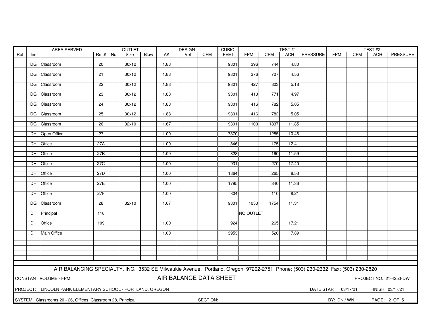| AREA SERVED |                                                                                                                               |                                                              |                 | <b>OUTLET</b> |       |      |      | <b>DESIGN</b> |            | <b>CUBIC</b> |                  |            | TEST#1 | TEST#2          |                      |            |                  |              |
|-------------|-------------------------------------------------------------------------------------------------------------------------------|--------------------------------------------------------------|-----------------|---------------|-------|------|------|---------------|------------|--------------|------------------|------------|--------|-----------------|----------------------|------------|------------------|--------------|
| Ref         | Ins                                                                                                                           |                                                              | $Rm.+$ No.      |               | Size  | Blow | AK.  | Vel           | <b>CFM</b> | <b>FEET</b>  | <b>FPM</b>       | <b>CFM</b> | ACH    | <b>PRESSURE</b> | <b>FPM</b>           | <b>CFM</b> | <b>ACH</b>       | PRESSURE     |
|             |                                                                                                                               |                                                              |                 |               |       |      |      |               |            |              |                  |            |        |                 |                      |            |                  |              |
|             |                                                                                                                               | DG Classroom                                                 | 20              |               | 30x12 |      | 1.88 |               |            | 9301         | 396              | 744        | 4.80   |                 |                      |            |                  |              |
|             |                                                                                                                               | DG Classroom                                                 |                 |               | 30x12 |      |      |               |            | 9301         | 376              | 707        | 4.56   |                 |                      |            |                  |              |
|             |                                                                                                                               |                                                              | 21              |               |       |      | 1.88 |               |            |              |                  |            |        |                 |                      |            |                  |              |
|             |                                                                                                                               | DG Classroom                                                 | $\overline{22}$ |               | 30x12 |      | 1.88 |               |            | 9301         | 427              | 803        | 5.18   |                 |                      |            |                  |              |
|             |                                                                                                                               |                                                              |                 |               |       |      |      |               |            |              |                  |            |        |                 |                      |            |                  |              |
|             |                                                                                                                               | DG Classroom                                                 | 23              |               | 30x12 |      | 1.88 |               |            | 9301         | 410              | 771        | 4.97   |                 |                      |            |                  |              |
|             |                                                                                                                               |                                                              |                 |               |       |      |      |               |            |              |                  |            |        |                 |                      |            |                  |              |
|             |                                                                                                                               | DG Classroom                                                 | 24              |               | 30x12 |      | 1.88 |               |            | 9301         | 416              | 782        | 5.05   |                 |                      |            |                  |              |
|             |                                                                                                                               |                                                              | 25              |               |       |      | 1.88 |               |            | 9301         |                  | 782        | 5.05   |                 |                      |            |                  |              |
|             |                                                                                                                               | DG Classroom                                                 |                 |               | 30x12 |      |      |               |            |              | 416              |            |        |                 |                      |            |                  |              |
|             |                                                                                                                               | DG Classroom                                                 | 26              |               | 32x10 |      | 1.67 |               |            | 9301         | 1100             | 1837       | 11.85  |                 |                      |            |                  |              |
|             |                                                                                                                               |                                                              |                 |               |       |      |      |               |            |              |                  |            |        |                 |                      |            |                  |              |
|             |                                                                                                                               | DH Open Office                                               | $\overline{27}$ |               |       |      | 1.00 |               |            | 7370         |                  | 1285       | 10.46  |                 |                      |            |                  |              |
|             |                                                                                                                               |                                                              |                 |               |       |      |      |               |            |              |                  |            |        |                 |                      |            |                  |              |
|             |                                                                                                                               | DH Office                                                    | 27A             |               |       |      | 1.00 |               |            | 846          |                  | 175        | 12.41  |                 |                      |            |                  |              |
|             |                                                                                                                               |                                                              |                 |               |       |      |      |               |            |              |                  |            |        |                 |                      |            |                  |              |
|             |                                                                                                                               | DH Office                                                    | 27B             |               |       |      | 1.00 |               |            | 828          |                  | 160        | 11.59  |                 |                      |            |                  |              |
|             |                                                                                                                               | DH Office                                                    | 27C             |               |       |      | 1.00 |               |            | 931          |                  | 270        | 17.40  |                 |                      |            |                  |              |
|             |                                                                                                                               |                                                              |                 |               |       |      |      |               |            |              |                  |            |        |                 |                      |            |                  |              |
|             |                                                                                                                               | DH Office                                                    | 27D             |               |       |      | 1.00 |               |            | 1864         |                  | 265        | 8.53   |                 |                      |            |                  |              |
|             |                                                                                                                               |                                                              |                 |               |       |      |      |               |            |              |                  |            |        |                 |                      |            |                  |              |
|             | DH Office<br>27E<br>1.00<br>1795<br>340<br>11.36                                                                              |                                                              |                 |               |       |      |      |               |            |              |                  |            |        |                 |                      |            |                  |              |
|             |                                                                                                                               |                                                              |                 |               |       |      |      |               |            |              |                  |            |        |                 |                      |            |                  |              |
|             |                                                                                                                               | DH Office                                                    | 27F             |               |       |      | 1.00 |               |            | 804          |                  | 110        | 8.21   |                 |                      |            |                  |              |
|             |                                                                                                                               | DG Classroom                                                 | 28              |               | 32x10 |      | 1.67 |               |            | 9301         | 1050             | 1754       | 11.31  |                 |                      |            |                  |              |
|             |                                                                                                                               |                                                              |                 |               |       |      |      |               |            |              |                  |            |        |                 |                      |            |                  |              |
|             |                                                                                                                               | DH Principal                                                 | 110             |               |       |      |      |               |            |              | <b>NO OUTLET</b> |            |        |                 |                      |            |                  |              |
|             |                                                                                                                               |                                                              |                 |               |       |      |      |               |            |              |                  |            |        |                 |                      |            |                  |              |
|             |                                                                                                                               | DH Office                                                    | 109             |               |       |      | 1.00 |               |            | 924          |                  | 265        | 17.21  |                 |                      |            |                  |              |
|             |                                                                                                                               |                                                              |                 |               |       |      |      |               |            |              |                  |            |        |                 |                      |            |                  |              |
|             |                                                                                                                               | DH Main Office                                               |                 |               |       |      | 1.00 |               |            | 3953         |                  | 520        | 7.89   |                 |                      |            |                  |              |
|             |                                                                                                                               |                                                              |                 |               |       |      |      |               |            |              |                  |            |        |                 |                      |            |                  |              |
|             |                                                                                                                               |                                                              |                 |               |       |      |      |               |            |              |                  |            |        |                 |                      |            |                  |              |
|             |                                                                                                                               |                                                              |                 |               |       |      |      |               |            |              |                  |            |        |                 |                      |            |                  |              |
|             |                                                                                                                               |                                                              |                 |               |       |      |      |               |            |              |                  |            |        |                 |                      |            |                  |              |
|             |                                                                                                                               |                                                              |                 |               |       |      |      |               |            |              |                  |            |        |                 |                      |            |                  |              |
|             | AIR BALANCING SPECIALTY, INC. 3532 SE Milwaukie Avenue, Portland, Oregon 97202-2751 Phone: (503) 230-2332 Fax: (503) 230-2820 |                                                              |                 |               |       |      |      |               |            |              |                  |            |        |                 |                      |            |                  |              |
|             |                                                                                                                               |                                                              |                 |               |       |      |      |               |            |              |                  |            |        |                 |                      |            |                  |              |
|             | AIR BALANCE DATA SHEET<br>CONSTANT VOLUME - FPM<br>PROJECT NO.: 21-4253-DW                                                    |                                                              |                 |               |       |      |      |               |            |              |                  |            |        |                 |                      |            |                  |              |
|             |                                                                                                                               |                                                              |                 |               |       |      |      |               |            |              |                  |            |        |                 |                      |            |                  |              |
|             |                                                                                                                               | PROJECT: LINCOLN PARK ELEMENTARY SCHOOL - PORTLAND, OREGON   |                 |               |       |      |      |               |            |              |                  |            |        |                 | DATE START: 03/17/21 |            | FINISH: 03/17/21 |              |
|             |                                                                                                                               |                                                              |                 |               |       |      |      |               |            |              |                  |            |        |                 |                      |            |                  |              |
|             |                                                                                                                               | SYSTEM: Classrooms 20 - 26, Offices, Classroom 28, Principal |                 |               |       |      |      |               | SECTION:   |              |                  |            |        |                 | BY: DN / WN          |            |                  | PAGE: 2 OF 5 |
|             |                                                                                                                               |                                                              |                 |               |       |      |      |               |            |              |                  |            |        |                 |                      |            |                  |              |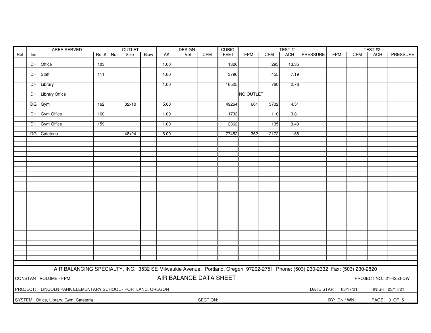| CFM<br><b>FEET</b><br><b>FPM</b><br><b>CFM</b><br>ACH   PRESSURE<br><b>FPM</b><br>PRESSURE<br>$Rm.+$ No.<br>Size<br>Blow<br>AK<br>Vel<br>CFM<br><b>ACH</b><br>Ref<br>Ins<br>DH Office<br>1326<br>295<br>103<br>1.00<br>13.35<br>3796<br>455<br>7.19<br>DH Staff<br>1.00<br>111<br>DH Library<br>16525<br>760<br>1.00<br>2.76<br>DH Library Office<br>NO OUTLET<br>DG Gym<br>162<br>32x10<br>5.60<br>49264<br>661<br>3702<br>4.51<br>DH Gym Office<br>160<br>1.00<br>1733<br>110<br>3.81<br>DH Gym Office<br>2362<br>159<br>135<br>3.43<br>1.00<br>DG Cafeteria<br>48x24<br>6.00<br>77452<br>362<br>2172<br>1.68<br>AIR BALANCING SPECIALTY, INC. 3532 SE Milwaukie Avenue, Portland, Oregon 97202-2751 Phone: (503) 230-2332 Fax: (503) 230-2820<br>AIR BALANCE DATA SHEET<br>CONSTANT VOLUME - FPM<br>PROJECT NO.: 21-4253-DW<br>PROJECT: LINCOLN PARK ELEMENTARY SCHOOL - PORTLAND, OREGON<br>DATE START: 03/17/21<br>FINISH: 03/17/21<br>SECTION:<br>SYSTEM: Office, Library, Gym, Cafeteria<br>BY: DN / WN<br>PAGE: 3 OF 5 | AREA SERVED |  |  |  |  | OUTLET |  |  | <b>DESIGN</b> |  | <b>CUBIC</b> |  |  | TEST#1 |  | TEST <sub>#2</sub> |  |  |  |  |
|--------------------------------------------------------------------------------------------------------------------------------------------------------------------------------------------------------------------------------------------------------------------------------------------------------------------------------------------------------------------------------------------------------------------------------------------------------------------------------------------------------------------------------------------------------------------------------------------------------------------------------------------------------------------------------------------------------------------------------------------------------------------------------------------------------------------------------------------------------------------------------------------------------------------------------------------------------------------------------------------------------------------------------|-------------|--|--|--|--|--------|--|--|---------------|--|--------------|--|--|--------|--|--------------------|--|--|--|--|
|                                                                                                                                                                                                                                                                                                                                                                                                                                                                                                                                                                                                                                                                                                                                                                                                                                                                                                                                                                                                                                |             |  |  |  |  |        |  |  |               |  |              |  |  |        |  |                    |  |  |  |  |
|                                                                                                                                                                                                                                                                                                                                                                                                                                                                                                                                                                                                                                                                                                                                                                                                                                                                                                                                                                                                                                |             |  |  |  |  |        |  |  |               |  |              |  |  |        |  |                    |  |  |  |  |
|                                                                                                                                                                                                                                                                                                                                                                                                                                                                                                                                                                                                                                                                                                                                                                                                                                                                                                                                                                                                                                |             |  |  |  |  |        |  |  |               |  |              |  |  |        |  |                    |  |  |  |  |
|                                                                                                                                                                                                                                                                                                                                                                                                                                                                                                                                                                                                                                                                                                                                                                                                                                                                                                                                                                                                                                |             |  |  |  |  |        |  |  |               |  |              |  |  |        |  |                    |  |  |  |  |
|                                                                                                                                                                                                                                                                                                                                                                                                                                                                                                                                                                                                                                                                                                                                                                                                                                                                                                                                                                                                                                |             |  |  |  |  |        |  |  |               |  |              |  |  |        |  |                    |  |  |  |  |
|                                                                                                                                                                                                                                                                                                                                                                                                                                                                                                                                                                                                                                                                                                                                                                                                                                                                                                                                                                                                                                |             |  |  |  |  |        |  |  |               |  |              |  |  |        |  |                    |  |  |  |  |
|                                                                                                                                                                                                                                                                                                                                                                                                                                                                                                                                                                                                                                                                                                                                                                                                                                                                                                                                                                                                                                |             |  |  |  |  |        |  |  |               |  |              |  |  |        |  |                    |  |  |  |  |
|                                                                                                                                                                                                                                                                                                                                                                                                                                                                                                                                                                                                                                                                                                                                                                                                                                                                                                                                                                                                                                |             |  |  |  |  |        |  |  |               |  |              |  |  |        |  |                    |  |  |  |  |
|                                                                                                                                                                                                                                                                                                                                                                                                                                                                                                                                                                                                                                                                                                                                                                                                                                                                                                                                                                                                                                |             |  |  |  |  |        |  |  |               |  |              |  |  |        |  |                    |  |  |  |  |
|                                                                                                                                                                                                                                                                                                                                                                                                                                                                                                                                                                                                                                                                                                                                                                                                                                                                                                                                                                                                                                |             |  |  |  |  |        |  |  |               |  |              |  |  |        |  |                    |  |  |  |  |
|                                                                                                                                                                                                                                                                                                                                                                                                                                                                                                                                                                                                                                                                                                                                                                                                                                                                                                                                                                                                                                |             |  |  |  |  |        |  |  |               |  |              |  |  |        |  |                    |  |  |  |  |
|                                                                                                                                                                                                                                                                                                                                                                                                                                                                                                                                                                                                                                                                                                                                                                                                                                                                                                                                                                                                                                |             |  |  |  |  |        |  |  |               |  |              |  |  |        |  |                    |  |  |  |  |
|                                                                                                                                                                                                                                                                                                                                                                                                                                                                                                                                                                                                                                                                                                                                                                                                                                                                                                                                                                                                                                |             |  |  |  |  |        |  |  |               |  |              |  |  |        |  |                    |  |  |  |  |
|                                                                                                                                                                                                                                                                                                                                                                                                                                                                                                                                                                                                                                                                                                                                                                                                                                                                                                                                                                                                                                |             |  |  |  |  |        |  |  |               |  |              |  |  |        |  |                    |  |  |  |  |
|                                                                                                                                                                                                                                                                                                                                                                                                                                                                                                                                                                                                                                                                                                                                                                                                                                                                                                                                                                                                                                |             |  |  |  |  |        |  |  |               |  |              |  |  |        |  |                    |  |  |  |  |
|                                                                                                                                                                                                                                                                                                                                                                                                                                                                                                                                                                                                                                                                                                                                                                                                                                                                                                                                                                                                                                |             |  |  |  |  |        |  |  |               |  |              |  |  |        |  |                    |  |  |  |  |
|                                                                                                                                                                                                                                                                                                                                                                                                                                                                                                                                                                                                                                                                                                                                                                                                                                                                                                                                                                                                                                |             |  |  |  |  |        |  |  |               |  |              |  |  |        |  |                    |  |  |  |  |
|                                                                                                                                                                                                                                                                                                                                                                                                                                                                                                                                                                                                                                                                                                                                                                                                                                                                                                                                                                                                                                |             |  |  |  |  |        |  |  |               |  |              |  |  |        |  |                    |  |  |  |  |
|                                                                                                                                                                                                                                                                                                                                                                                                                                                                                                                                                                                                                                                                                                                                                                                                                                                                                                                                                                                                                                |             |  |  |  |  |        |  |  |               |  |              |  |  |        |  |                    |  |  |  |  |
|                                                                                                                                                                                                                                                                                                                                                                                                                                                                                                                                                                                                                                                                                                                                                                                                                                                                                                                                                                                                                                |             |  |  |  |  |        |  |  |               |  |              |  |  |        |  |                    |  |  |  |  |
|                                                                                                                                                                                                                                                                                                                                                                                                                                                                                                                                                                                                                                                                                                                                                                                                                                                                                                                                                                                                                                |             |  |  |  |  |        |  |  |               |  |              |  |  |        |  |                    |  |  |  |  |
|                                                                                                                                                                                                                                                                                                                                                                                                                                                                                                                                                                                                                                                                                                                                                                                                                                                                                                                                                                                                                                |             |  |  |  |  |        |  |  |               |  |              |  |  |        |  |                    |  |  |  |  |
|                                                                                                                                                                                                                                                                                                                                                                                                                                                                                                                                                                                                                                                                                                                                                                                                                                                                                                                                                                                                                                |             |  |  |  |  |        |  |  |               |  |              |  |  |        |  |                    |  |  |  |  |
|                                                                                                                                                                                                                                                                                                                                                                                                                                                                                                                                                                                                                                                                                                                                                                                                                                                                                                                                                                                                                                |             |  |  |  |  |        |  |  |               |  |              |  |  |        |  |                    |  |  |  |  |
|                                                                                                                                                                                                                                                                                                                                                                                                                                                                                                                                                                                                                                                                                                                                                                                                                                                                                                                                                                                                                                |             |  |  |  |  |        |  |  |               |  |              |  |  |        |  |                    |  |  |  |  |
|                                                                                                                                                                                                                                                                                                                                                                                                                                                                                                                                                                                                                                                                                                                                                                                                                                                                                                                                                                                                                                |             |  |  |  |  |        |  |  |               |  |              |  |  |        |  |                    |  |  |  |  |
|                                                                                                                                                                                                                                                                                                                                                                                                                                                                                                                                                                                                                                                                                                                                                                                                                                                                                                                                                                                                                                |             |  |  |  |  |        |  |  |               |  |              |  |  |        |  |                    |  |  |  |  |
|                                                                                                                                                                                                                                                                                                                                                                                                                                                                                                                                                                                                                                                                                                                                                                                                                                                                                                                                                                                                                                |             |  |  |  |  |        |  |  |               |  |              |  |  |        |  |                    |  |  |  |  |
|                                                                                                                                                                                                                                                                                                                                                                                                                                                                                                                                                                                                                                                                                                                                                                                                                                                                                                                                                                                                                                |             |  |  |  |  |        |  |  |               |  |              |  |  |        |  |                    |  |  |  |  |
|                                                                                                                                                                                                                                                                                                                                                                                                                                                                                                                                                                                                                                                                                                                                                                                                                                                                                                                                                                                                                                |             |  |  |  |  |        |  |  |               |  |              |  |  |        |  |                    |  |  |  |  |
|                                                                                                                                                                                                                                                                                                                                                                                                                                                                                                                                                                                                                                                                                                                                                                                                                                                                                                                                                                                                                                |             |  |  |  |  |        |  |  |               |  |              |  |  |        |  |                    |  |  |  |  |
|                                                                                                                                                                                                                                                                                                                                                                                                                                                                                                                                                                                                                                                                                                                                                                                                                                                                                                                                                                                                                                |             |  |  |  |  |        |  |  |               |  |              |  |  |        |  |                    |  |  |  |  |
|                                                                                                                                                                                                                                                                                                                                                                                                                                                                                                                                                                                                                                                                                                                                                                                                                                                                                                                                                                                                                                |             |  |  |  |  |        |  |  |               |  |              |  |  |        |  |                    |  |  |  |  |
|                                                                                                                                                                                                                                                                                                                                                                                                                                                                                                                                                                                                                                                                                                                                                                                                                                                                                                                                                                                                                                |             |  |  |  |  |        |  |  |               |  |              |  |  |        |  |                    |  |  |  |  |
|                                                                                                                                                                                                                                                                                                                                                                                                                                                                                                                                                                                                                                                                                                                                                                                                                                                                                                                                                                                                                                |             |  |  |  |  |        |  |  |               |  |              |  |  |        |  |                    |  |  |  |  |
|                                                                                                                                                                                                                                                                                                                                                                                                                                                                                                                                                                                                                                                                                                                                                                                                                                                                                                                                                                                                                                |             |  |  |  |  |        |  |  |               |  |              |  |  |        |  |                    |  |  |  |  |
|                                                                                                                                                                                                                                                                                                                                                                                                                                                                                                                                                                                                                                                                                                                                                                                                                                                                                                                                                                                                                                |             |  |  |  |  |        |  |  |               |  |              |  |  |        |  |                    |  |  |  |  |
|                                                                                                                                                                                                                                                                                                                                                                                                                                                                                                                                                                                                                                                                                                                                                                                                                                                                                                                                                                                                                                |             |  |  |  |  |        |  |  |               |  |              |  |  |        |  |                    |  |  |  |  |
|                                                                                                                                                                                                                                                                                                                                                                                                                                                                                                                                                                                                                                                                                                                                                                                                                                                                                                                                                                                                                                |             |  |  |  |  |        |  |  |               |  |              |  |  |        |  |                    |  |  |  |  |
|                                                                                                                                                                                                                                                                                                                                                                                                                                                                                                                                                                                                                                                                                                                                                                                                                                                                                                                                                                                                                                |             |  |  |  |  |        |  |  |               |  |              |  |  |        |  |                    |  |  |  |  |
|                                                                                                                                                                                                                                                                                                                                                                                                                                                                                                                                                                                                                                                                                                                                                                                                                                                                                                                                                                                                                                |             |  |  |  |  |        |  |  |               |  |              |  |  |        |  |                    |  |  |  |  |
|                                                                                                                                                                                                                                                                                                                                                                                                                                                                                                                                                                                                                                                                                                                                                                                                                                                                                                                                                                                                                                |             |  |  |  |  |        |  |  |               |  |              |  |  |        |  |                    |  |  |  |  |
|                                                                                                                                                                                                                                                                                                                                                                                                                                                                                                                                                                                                                                                                                                                                                                                                                                                                                                                                                                                                                                |             |  |  |  |  |        |  |  |               |  |              |  |  |        |  |                    |  |  |  |  |
|                                                                                                                                                                                                                                                                                                                                                                                                                                                                                                                                                                                                                                                                                                                                                                                                                                                                                                                                                                                                                                |             |  |  |  |  |        |  |  |               |  |              |  |  |        |  |                    |  |  |  |  |
|                                                                                                                                                                                                                                                                                                                                                                                                                                                                                                                                                                                                                                                                                                                                                                                                                                                                                                                                                                                                                                |             |  |  |  |  |        |  |  |               |  |              |  |  |        |  |                    |  |  |  |  |
|                                                                                                                                                                                                                                                                                                                                                                                                                                                                                                                                                                                                                                                                                                                                                                                                                                                                                                                                                                                                                                |             |  |  |  |  |        |  |  |               |  |              |  |  |        |  |                    |  |  |  |  |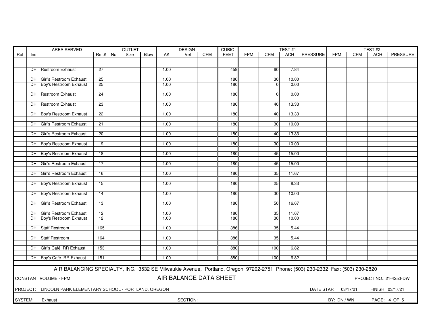| AREA SERVED<br><b>OUTLET</b> |                                                                                   |                                                                                                                               |                 |     |      |      |      | <b>DESIGN</b> |            | <b>CUBIC</b> |            |                 | TEST#1 |                 | TEST#2               |            |                  |              |
|------------------------------|-----------------------------------------------------------------------------------|-------------------------------------------------------------------------------------------------------------------------------|-----------------|-----|------|------|------|---------------|------------|--------------|------------|-----------------|--------|-----------------|----------------------|------------|------------------|--------------|
| Ref                          | Ins                                                                               |                                                                                                                               | $Rm.+$          | No. | Size | Blow | AK.  | Vel           | <b>CFM</b> | <b>FEET</b>  | <b>FPM</b> | <b>CFM</b>      | ACH    | <b>PRESSURE</b> | <b>FPM</b>           | <b>CFM</b> | <b>ACH</b>       | PRESSURE     |
|                              |                                                                                   |                                                                                                                               |                 |     |      |      |      |               |            |              |            |                 |        |                 |                      |            |                  |              |
|                              |                                                                                   |                                                                                                                               |                 |     |      |      |      |               |            |              |            |                 |        |                 |                      |            |                  |              |
|                              |                                                                                   | DH Restroom Exhaust                                                                                                           | $\overline{27}$ |     |      |      | 1.00 |               |            | 459          |            | 60              | 7.84   |                 |                      |            |                  |              |
|                              |                                                                                   |                                                                                                                               |                 |     |      |      |      |               |            |              |            |                 |        |                 |                      |            |                  |              |
|                              |                                                                                   | DH Girl's Restroom Exhaust                                                                                                    | 25              |     |      |      | 1.00 |               |            | 180          |            | 30              | 10.00  |                 |                      |            |                  |              |
|                              |                                                                                   | DH Boy's Restroom Exhaust                                                                                                     | 25              |     |      |      | 1.00 |               |            | 180          |            | $\Omega$        | 0.00   |                 |                      |            |                  |              |
|                              |                                                                                   |                                                                                                                               |                 |     |      |      | 1.00 |               |            | 180          |            | $\Omega$        | 0.00   |                 |                      |            |                  |              |
|                              |                                                                                   | DH Restroom Exhaust                                                                                                           | 24              |     |      |      |      |               |            |              |            |                 |        |                 |                      |            |                  |              |
|                              |                                                                                   | <b>DH</b> Restroom Exhaust                                                                                                    | $\overline{23}$ |     |      |      | 1.00 |               |            | 180          |            | 40              | 13.33  |                 |                      |            |                  |              |
|                              |                                                                                   |                                                                                                                               |                 |     |      |      |      |               |            |              |            |                 |        |                 |                      |            |                  |              |
|                              |                                                                                   | DH Boy's Restroom Exhaust                                                                                                     | 22              |     |      |      | 1.00 |               |            | 180          |            | 40              | 13.33  |                 |                      |            |                  |              |
|                              |                                                                                   |                                                                                                                               |                 |     |      |      |      |               |            |              |            |                 |        |                 |                      |            |                  |              |
|                              |                                                                                   | DH Girl's Restroom Exhaust                                                                                                    | 21              |     |      |      | 1.00 |               |            | 180          |            | 30 <sub>l</sub> | 10.00  |                 |                      |            |                  |              |
|                              |                                                                                   |                                                                                                                               |                 |     |      |      |      |               |            |              |            |                 |        |                 |                      |            |                  |              |
|                              |                                                                                   | DH Girl's Restroom Exhaust                                                                                                    | $\overline{20}$ |     |      |      | 1.00 |               |            | 180          |            | 40              | 13.33  |                 |                      |            |                  |              |
|                              |                                                                                   |                                                                                                                               |                 |     |      |      |      |               |            |              |            |                 |        |                 |                      |            |                  |              |
|                              |                                                                                   | DH Boy's Restroom Exhaust                                                                                                     | 19              |     |      |      | 1.00 |               |            | 180          |            | 30              | 10.00  |                 |                      |            |                  |              |
|                              |                                                                                   |                                                                                                                               |                 |     |      |      |      |               |            |              |            |                 |        |                 |                      |            |                  |              |
|                              |                                                                                   | DH Boy's Restroom Exhaust                                                                                                     | 18              |     |      |      | 1.00 |               |            | 180          |            | 45              | 15.00  |                 |                      |            |                  |              |
|                              |                                                                                   |                                                                                                                               |                 |     |      |      |      |               |            |              |            |                 |        |                 |                      |            |                  |              |
|                              |                                                                                   | DH Girl's Restroom Exhaust                                                                                                    | 17              |     |      |      | 1.00 |               |            | 180          |            | 45              | 15.00  |                 |                      |            |                  |              |
|                              |                                                                                   | DH Girl's Restroom Exhaust                                                                                                    | 16              |     |      |      | 1.00 |               |            | 180          |            | 35              | 11.67  |                 |                      |            |                  |              |
|                              |                                                                                   |                                                                                                                               |                 |     |      |      |      |               |            |              |            |                 |        |                 |                      |            |                  |              |
|                              |                                                                                   | DH Boy's Restroom Exhaust                                                                                                     | 15              |     |      |      | 1.00 |               |            | 180          |            | 25              | 8.33   |                 |                      |            |                  |              |
|                              |                                                                                   |                                                                                                                               |                 |     |      |      |      |               |            |              |            |                 |        |                 |                      |            |                  |              |
|                              |                                                                                   | DH Boy's Restroom Exhaust                                                                                                     | $\overline{14}$ |     |      |      | 1.00 |               |            | 180          |            | 30 <sup>1</sup> | 10.00  |                 |                      |            |                  |              |
|                              |                                                                                   |                                                                                                                               |                 |     |      |      |      |               |            |              |            |                 |        |                 |                      |            |                  |              |
|                              |                                                                                   | DH Girl's Restroom Exhaust                                                                                                    | 13              |     |      |      | 1.00 |               |            | 180          |            | 50              | 16.67  |                 |                      |            |                  |              |
|                              |                                                                                   |                                                                                                                               |                 |     |      |      |      |               |            |              |            |                 |        |                 |                      |            |                  |              |
|                              |                                                                                   | DH Girl's Restroom Exhaust                                                                                                    | $\overline{12}$ |     |      |      | 1.00 |               |            | 180          |            | 35              | 11.67  |                 |                      |            |                  |              |
|                              |                                                                                   | DH Boy's Restroom Exhaust                                                                                                     | $\overline{12}$ |     |      |      | 1.00 |               |            | 180          |            | $\overline{30}$ | 10.00  |                 |                      |            |                  |              |
|                              |                                                                                   |                                                                                                                               |                 |     |      |      |      |               |            |              |            |                 |        |                 |                      |            |                  |              |
|                              |                                                                                   | DH Staff Restroom                                                                                                             | 165             |     |      |      | 1.00 |               |            | 386          |            | 35              | 5.44   |                 |                      |            |                  |              |
|                              |                                                                                   |                                                                                                                               |                 |     |      |      |      |               |            |              |            |                 |        |                 |                      |            |                  |              |
|                              |                                                                                   | DH Staff Restroom                                                                                                             | 164             |     |      |      | 1.00 |               |            | 386          |            | 35              | 5.44   |                 |                      |            |                  |              |
|                              |                                                                                   | DH Girl's Café. RR Exhaust                                                                                                    | 153             |     |      |      | 1.00 |               |            | 880          |            | 100             | 6.82   |                 |                      |            |                  |              |
|                              |                                                                                   |                                                                                                                               |                 |     |      |      |      |               |            |              |            |                 |        |                 |                      |            |                  |              |
|                              |                                                                                   | DH Boy's Café. RR Exhaust                                                                                                     | 151             |     |      |      | 1.00 |               |            | 880          |            | 100             | 6.82   |                 |                      |            |                  |              |
|                              |                                                                                   |                                                                                                                               |                 |     |      |      |      |               |            |              |            |                 |        |                 |                      |            |                  |              |
|                              |                                                                                   | AIR BALANCING SPECIALTY, INC. 3532 SE Milwaukie Avenue, Portland, Oregon 97202-2751 Phone: (503) 230-2332 Fax: (503) 230-2820 |                 |     |      |      |      |               |            |              |            |                 |        |                 |                      |            |                  |              |
|                              |                                                                                   |                                                                                                                               |                 |     |      |      |      |               |            |              |            |                 |        |                 |                      |            |                  |              |
|                              | AIR BALANCE DATA SHEET<br><b>CONSTANT VOLUME - FPM</b><br>PROJECT NO.: 21-4253-DW |                                                                                                                               |                 |     |      |      |      |               |            |              |            |                 |        |                 |                      |            |                  |              |
|                              |                                                                                   |                                                                                                                               |                 |     |      |      |      |               |            |              |            |                 |        |                 |                      |            |                  |              |
|                              |                                                                                   | PROJECT: LINCOLN PARK ELEMENTARY SCHOOL - PORTLAND, OREGON                                                                    |                 |     |      |      |      |               |            |              |            |                 |        |                 | DATE START: 03/17/21 |            | FINISH: 03/17/21 |              |
|                              |                                                                                   |                                                                                                                               |                 |     |      |      |      |               |            |              |            |                 |        |                 |                      |            |                  |              |
| SYSTEM:                      |                                                                                   | Exhaust                                                                                                                       |                 |     |      |      |      | SECTION:      |            |              |            |                 |        |                 | BY: DN / WN          |            |                  | PAGE: 4 OF 5 |
|                              |                                                                                   |                                                                                                                               |                 |     |      |      |      |               |            |              |            |                 |        |                 |                      |            |                  |              |